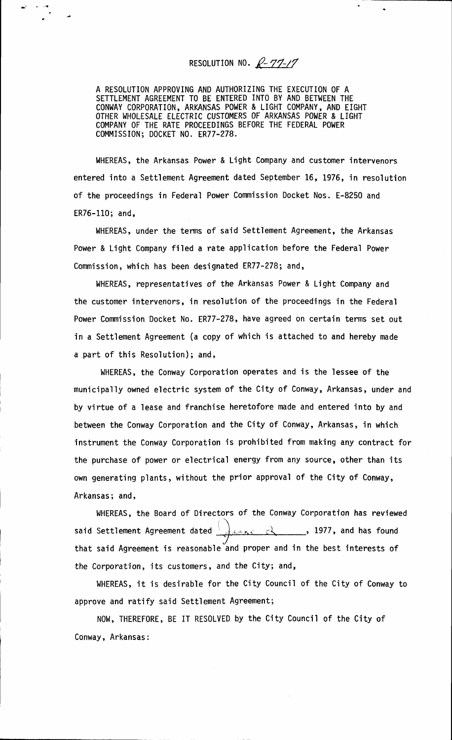## RESOLUTION NO.  $R - 77 - 17$

A RESOLUTION APPROVING AND AUTHORIZING THE EXECUTION OF A SETTLEMENT AGREEMENT TO BE ENTERED INTO BY AND BETWEEN THE CONWAY CORPORATION, ARKANSAS POWER & LIGHT COMPANY, AND EIGHT OTHER WHOLESALE ELECTRIC CUSTOMERS OF ARKANSAS POWER & LIGHT COMPANY OF THE RATE PROCEEDINGS BEFORE THE FEDERAL POWER COMMISSION; DOCKET NO. ER77-278.

WHEREAS, the Arkansas Power & Light Company and customer intervenors entered into a Settlement Agreement dated September 16, 1976, in resolution of the proceedings in Federal Power Commission Docket Nos. E-8250 and ER76-110; and,

WHEREAS, under the terms of said Settlement Agreement, the Arkansas Power & Light Company filed a rate application before the Federal Power Commission, which has been designated ER77-278; and,

WHEREAS, representatives of the Arkansas Power & Light Company and the customer intervenors, in resolution of the proceedings in the Federal Power Commission Docket No. ER77-278, have agreed on certain terms set out in a Settlement Agreement (a copy of which is attached to and hereby made a part of this Resolution); and,

WHEREAS, the Conway Corporation operates and is the lessee of the municipally owned electric system of the City of Conway, Arkansas, under and by virtue of a lease and franchise heretofore made and entered into by and between the Conway Corporation and the City of Conway, Arkansas, in which instrument the Conway Corporation is prohibited from making any contract for the purchase of power or electrical energy from any source, other than its own generating plants, without the prior approval of the City of Conway, Arkansas; and,

WHEREAS, the Board of Directors of the Conway Corporation has reviewed said Settlement Agreement dated  $\frac{1}{4}$ ,  $\frac{1}{4}$ ,  $\frac{1}{4}$ ,  $\frac{1}{4}$ ,  $\frac{1}{4}$ ,  $\frac{1}{4}$ , and has found that said Agreement is reasonable and proper and in the best interests of the Corporation, its customers, and the City; and,

WHEREAS, it is desirable for the City Council of the City of Conway to approve and ratify said Settlement Agreement;

NOW, THEREFORE, BE IT RESOLVED by the City Council of the City of Conway, Arkansas: